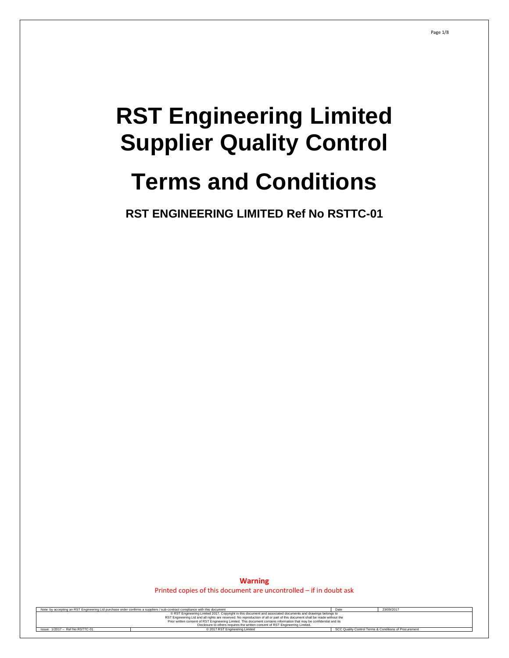# **RST Engineering Limited Supplier Quality Control**

# **Terms and Conditions**

**RST ENGINEERING LIMITED Ref No RSTTC-01**

**Warning** Printed copies of this document are uncontrolled – if in doubt ask

| Note: by accepting an RST Engineering Ltd purchase order confirms a suppliers / sub-contract compliance with this document | Date                                                                                                                       | 23/09/2017 |  |  |
|----------------------------------------------------------------------------------------------------------------------------|----------------------------------------------------------------------------------------------------------------------------|------------|--|--|
|                                                                                                                            | © RST Engineering Limited 2017. Copyright in this document and associated documents and drawings belongs to                |            |  |  |
|                                                                                                                            | RST Engineering Ltd and all rights are reserved. No reproduction of all or part of this document shall be made without the |            |  |  |
| Prior written consent of RST Engineering Limited. This document contains information that may be confidential and its      |                                                                                                                            |            |  |  |
| Disclosure to others requires the written consent of RST Engineering Limited.                                              |                                                                                                                            |            |  |  |
| SCC Quality Control Terms & Conditions of Procurement<br>Issue: 1/2017 - Ref No RSTTC-01<br>C 2017 RST Engineering Limited |                                                                                                                            |            |  |  |
|                                                                                                                            |                                                                                                                            |            |  |  |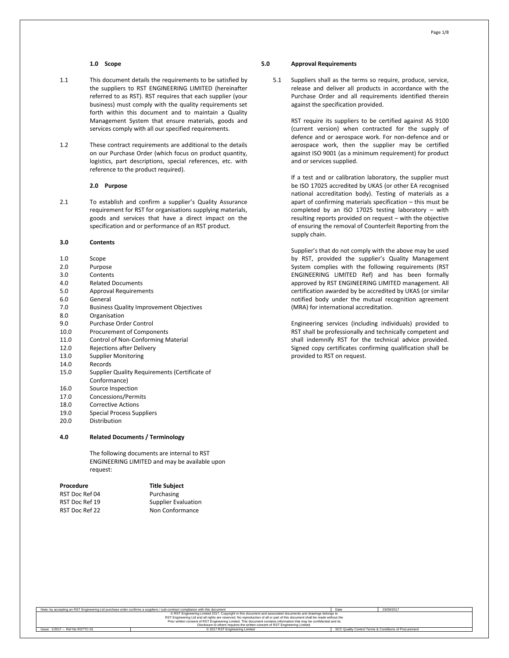# **1.0 Scope**

- 1.1 This document details the requirements to be satisfied by the suppliers to RST ENGINEERING LIMITED (hereinafter referred to as RST). RST requires that each supplier (your business) must comply with the quality requirements set forth within this document and to maintain a Quality Management System that ensure materials, goods and services comply with all our specified requirements.
- 1.2 These contract requirements are additional to the details on our Purchase Order (which focus on product quantity, logistics, part descriptions, special references, etc. with reference to the product required).

#### **2.0 Purpose**

2.1 To establish and confirm a supplier's Quality Assurance requirement for RST for organisations supplying materials, goods and services that have a direct impact on the specification and or performance of an RST product.

# **3.0 Contents**

- 1.0 Scope
- 2.0 Purpose
- 3.0 Contents
- 4.0 Related Documents
- 5.0 Approval Requirements
- 6.0 General
- 7.0 Business Quality Improvement Objectives
- 8.0 Organisation
- 9.0 Purchase Order Control
- 10.0 Procurement of Components
- 11.0 Control of Non-Conforming Material
- 12.0 Rejections after Delivery
- 13.0 Supplier Monitoring
- 14.0 Records
- 15.0 Supplier Quality Requirements (Certificate of
- Conformance)
- 16.0 Source Inspection 17.0 Concessions/Permits
- 18.0 Corrective Actions
- 19.0 Special Process Suppliers
- 20.0 Distribution

# **4.0 Related Documents / Terminology**

The following documents are internal to RST ENGINEERING LIMITED and may be available upon request:

| Procedure      | <b>Title Subject</b>       |
|----------------|----------------------------|
| RST Doc Ref 04 | Purchasing                 |
| RST Doc Ref 19 | <b>Supplier Evaluation</b> |
| RST Doc Ref 22 | Non Conformance            |
|                |                            |

### **5.0 Approval Requirements**

5.1 Suppliers shall as the terms so require, produce, service, release and deliver all products in accordance with the Purchase Order and all requirements identified therein against the specification provided.

> RST require its suppliers to be certified against AS 9100 (current version) when contracted for the supply of defence and or aerospace work. For non-defence and or aerospace work, then the supplier may be certified against ISO 9001 (as a minimum requirement) for product and or services supplied.

> If a test and or calibration laboratory, the supplier must be ISO 17025 accredited by UKAS (or other EA recognised national accreditation body). Testing of materials as a apart of confirming materials specification – this must be completed by an ISO 17025 testing laboratory – with resulting reports provided on request – with the objective of ensuring the removal of Counterfeit Reporting from the supply chain.

> Supplier's that do not comply with the above may be used by RST, provided the supplier's Quality Management System complies with the following requirements (RST ENGINEERING LIMITED Ref) and has been formally approved by RST ENGINEERING LIMITED management. All certification awarded by be accredited by UKAS (or similar notified body under the mutual recognition agreement (MRA) for international accreditation.

> Engineering services (including individuals) provided to RST shall be professionally and technically competent and shall indemnify RST for the technical advice provided. Signed copy certificates confirming qualification shall be provided to RST on request.

| Note: by accepting an RST Engineering Ltd purchase order confirms a suppliers / sub-contract compliance with this document | Date                                                                                                                       | 23/09/2017                                            |  |  |  |
|----------------------------------------------------------------------------------------------------------------------------|----------------------------------------------------------------------------------------------------------------------------|-------------------------------------------------------|--|--|--|
|                                                                                                                            | © RST Engineering Limited 2017. Copyright in this document and associated documents and drawings belongs to                |                                                       |  |  |  |
|                                                                                                                            | RST Engineering Ltd and all rights are reserved. No reproduction of all or part of this document shall be made without the |                                                       |  |  |  |
| Prior written consent of RST Engineering Limited. This document contains information that may be confidential and its      |                                                                                                                            |                                                       |  |  |  |
| Disclosure to others requires the written consent of RST Engineering Limited.                                              |                                                                                                                            |                                                       |  |  |  |
| Issue: 1/2017 - Ref No RSTTC-01                                                                                            | C 2017 RST Engineering Limited                                                                                             | SCC Quality Control Terms & Conditions of Procurement |  |  |  |
|                                                                                                                            |                                                                                                                            |                                                       |  |  |  |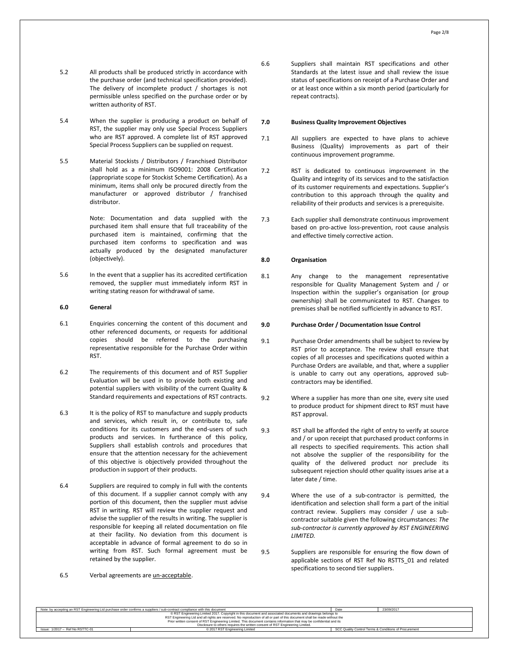- 5.2 All products shall be produced strictly in accordance with the purchase order (and technical specification provided). The delivery of incomplete product / shortages is not permissible unless specified on the purchase order or by written authority of RST.
- 5.4 When the supplier is producing a product on behalf of RST, the supplier may only use Special Process Suppliers who are RST approved. A complete list of RST approved Special Process Suppliers can be supplied on request.
- 5.5 Material Stockists / Distributors / Franchised Distributor shall hold as a minimum ISO9001: 2008 Certification (appropriate scope for Stockist Scheme Certification). As a minimum, items shall only be procured directly from the manufacturer or approved distributor / franchised distributor.

Note: Documentation and data supplied with the purchased item shall ensure that full traceability of the purchased item is maintained, confirming that the purchased item conforms to specification and was actually produced by the designated manufacturer (objectively).

5.6 In the event that a supplier has its accredited certification removed, the supplier must immediately inform RST in writing stating reason for withdrawal of same.

# **6.0 General**

- 6.1 Enquiries concerning the content of this document and other referenced documents, or requests for additional copies should be referred to the purchasing representative responsible for the Purchase Order within RST.
- 6.2 The requirements of this document and of RST Supplier Evaluation will be used in to provide both existing and potential suppliers with visibility of the current Quality & Standard requirements and expectations of RST contracts.
- 6.3 It is the policy of RST to manufacture and supply products and services, which result in, or contribute to, safe conditions for its customers and the end-users of such products and services. In furtherance of this policy, Suppliers shall establish controls and procedures that ensure that the attention necessary for the achievement of this objective is objectively provided throughout the production in support of their products.
- 6.4 Suppliers are required to comply in full with the contents of this document. If a supplier cannot comply with any portion of this document, then the supplier must advise RST in writing. RST will review the supplier request and advise the supplier of the results in writing. The supplier is responsible for keeping all related documentation on file at their facility. No deviation from this document is acceptable in advance of formal agreement to do so in writing from RST. Such formal agreement must be retained by the supplier.
- 6.5 Verbal agreements are un-acceptable.

6.6 Suppliers shall maintain RST specifications and other Standards at the latest issue and shall review the issue status of specifications on receipt of a Purchase Order and or at least once within a six month period (particularly for repeat contracts).

# **7.0 Business Quality Improvement Objectives**

- 7.1 All suppliers are expected to have plans to achieve Business (Quality) improvements as part of their continuous improvement programme.
- 7.2 RST is dedicated to continuous improvement in the Quality and integrity of its services and to the satisfaction of its customer requirements and expectations. Supplier's contribution to this approach through the quality and reliability of their products and services is a prerequisite.
- 7.3 Each supplier shall demonstrate continuous improvement based on pro-active loss-prevention, root cause analysis and effective timely corrective action.

#### **8.0 Organisation**

8.1 Any change to the management representative responsible for Quality Management System and / or Inspection within the supplier's organisation (or group ownership) shall be communicated to RST. Changes to premises shall be notified sufficiently in advance to RST.

# **9.0 Purchase Order / Documentation Issue Control**

- 9.1 Purchase Order amendments shall be subject to review by RST prior to acceptance. The review shall ensure that copies of all processes and specifications quoted within a Purchase Orders are available, and that, where a supplier is unable to carry out any operations, approved subcontractors may be identified.
- 9.2 Where a supplier has more than one site, every site used to produce product for shipment direct to RST must have RST approval.
- 9.3 RST shall be afforded the right of entry to verify at source and / or upon receipt that purchased product conforms in all respects to specified requirements. This action shall not absolve the supplier of the responsibility for the quality of the delivered product nor preclude its subsequent rejection should other quality issues arise at a later date / time.
- 9.4 Where the use of a sub-contractor is permitted, the identification and selection shall form a part of the initial contract review. Suppliers may consider / use a subcontractor suitable given the following circumstances: *The sub-contractor is currently approved by RST ENGINEERING LIMITED.*
- 9.5 Suppliers are responsible for ensuring the flow down of applicable sections of RST Ref No RSTTS\_01 and related specifications to second tier suppliers.

| Note: by accepting an RST Engineering Ltd purchase order confirms a suppliers / sub-contract compliance with this document |                                                                                                                            |  | 23/09/2017 |  |
|----------------------------------------------------------------------------------------------------------------------------|----------------------------------------------------------------------------------------------------------------------------|--|------------|--|
|                                                                                                                            | © RST Engineering Limited 2017. Copyright in this document and associated documents and drawings belongs to                |  |            |  |
|                                                                                                                            | RST Engineering Ltd and all rights are reserved. No reproduction of all or part of this document shall be made without the |  |            |  |
|                                                                                                                            | Prior written consent of RST Engineering Limited. This document contains information that may be confidential and its      |  |            |  |
| Disclosure to others requires the written consent of RST Engineering Limited.                                              |                                                                                                                            |  |            |  |
| SCC Quality Control Terms & Conditions of Procurement<br>Issue: 1/2017 - Ref No RSTTC-01<br>© 2017 RST Engineering Limited |                                                                                                                            |  |            |  |
|                                                                                                                            |                                                                                                                            |  |            |  |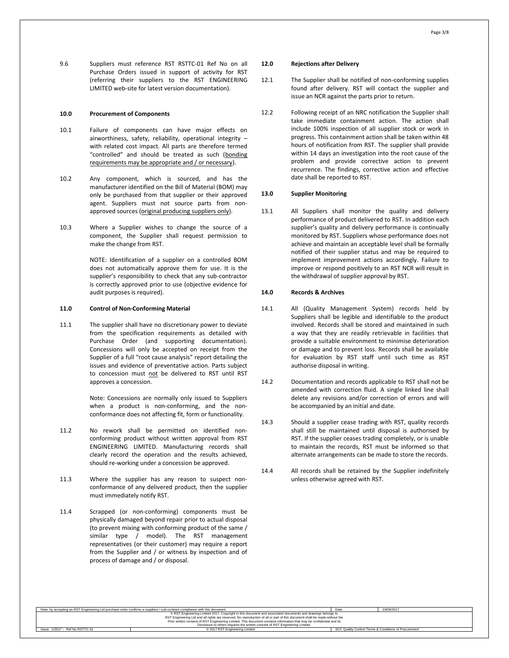9.6 Suppliers must reference RST RSTTC-01 Ref No on all Purchase Orders issued in support of activity for RST (referring their suppliers to the RST ENGINEERING LIMITED web-site for latest version documentation).

#### **10.0 Procurement of Components**

- 10.1 Failure of components can have major effects on airworthiness, safety, reliability, operational integrity – with related cost impact. All parts are therefore termed "controlled" and should be treated as such (bonding requirements may be appropriate and / or necessary).
- 10.2 Any component, which is sourced, and has the manufacturer identified on the Bill of Material (BOM) may only be purchased from that supplier or their approved agent. Suppliers must not source parts from nonapproved sources (original producing suppliers only).
- 10.3 Where a Supplier wishes to change the source of a component, the Supplier shall request permission to make the change from RST.

NOTE: Identification of a supplier on a controlled BOM does not automatically approve them for use. It is the supplier's responsibility to check that any sub-contractor is correctly approved prior to use (objective evidence for audit purposes is required).

#### **11.0 Control of Non-Conforming Material**

11.1 The supplier shall have no discretionary power to deviate from the specification requirements as detailed with Purchase Order (and supporting documentation). Concessions will only be accepted on receipt from the Supplier of a full "root cause analysis" report detailing the issues and evidence of preventative action. Parts subject to concession must not be delivered to RST until RST approves a concession.

> Note: Concessions are normally only issued to Suppliers when a product is non-conforming, and the nonconformance does not affecting fit, form or functionality.

- 11.2 No rework shall be permitted on identified nonconforming product without written approval from RST ENGINEERING LIMITED. Manufacturing records shall clearly record the operation and the results achieved, should re-working under a concession be approved.
- 11.3 Where the supplier has any reason to suspect nonconformance of any delivered product, then the supplier must immediately notify RST.
- 11.4 Scrapped (or non-conforming) components must be physically damaged beyond repair prior to actual disposal (to prevent mixing with conforming product of the same / similar type / model). The RST management representatives (or their customer) may require a report from the Supplier and / or witness by inspection and of process of damage and / or disposal.

#### **12.0 Rejections after Delivery**

- 12.1 The Supplier shall be notified of non-conforming supplies found after delivery. RST will contact the supplier and issue an NCR against the parts prior to return.
- 12.2 Following receipt of an NRC notification the Supplier shall take immediate containment action. The action shall include 100% inspection of all supplier stock or work in progress. This containment action shall be taken within 48 hours of notification from RST. The supplier shall provide within 14 days an investigation into the root cause of the problem and provide corrective action to prevent recurrence. The findings, corrective action and effective date shall be reported to RST.

# **13.0 Supplier Monitoring**

13.1 All Suppliers shall monitor the quality and delivery performance of product delivered to RST. In addition each supplier's quality and delivery performance is continually monitored by RST. Suppliers whose performance does not achieve and maintain an acceptable level shall be formally notified of their supplier status and may be required to implement improvement actions accordingly. Failure to improve or respond positively to an RST NCR will result in the withdrawal of supplier approval by RST.

# **14.0 Records & Archives**

- 14.1 All (Quality Management System) records held by Suppliers shall be legible and identifiable to the product involved. Records shall be stored and maintained in such a way that they are readily retrievable in facilities that provide a suitable environment to minimise deterioration or damage and to prevent loss. Records shall be available for evaluation by RST staff until such time as RST authorise disposal in writing.
- 14.2 Documentation and records applicable to RST shall not be amended with correction fluid. A single linked line shall delete any revisions and/or correction of errors and will be accompanied by an initial and date.
- 14.3 Should a supplier cease trading with RST, quality records shall still be maintained until disposal is authorised by RST. If the supplier ceases trading completely, or is unable to maintain the records, RST must be informed so that alternate arrangements can be made to store the records.
- 14.4 All records shall be retained by the Supplier indefinitely unless otherwise agreed with RST.

|                                                                                                                            | Note: by accepting an RST Engineering Ltd purchase order confirms a suppliers / sub-contract compliance with this document | Date | 23/09/2017 |  |
|----------------------------------------------------------------------------------------------------------------------------|----------------------------------------------------------------------------------------------------------------------------|------|------------|--|
|                                                                                                                            | CRST Engineering Limited 2017. Copyright in this document and associated documents and drawings belongs to                 |      |            |  |
|                                                                                                                            | RST Engineering Ltd and all rights are reserved. No reproduction of all or part of this document shall be made without the |      |            |  |
| Prior written consent of RST Engineering Limited. This document contains information that may be confidential and its      |                                                                                                                            |      |            |  |
| Disclosure to others requires the written consent of RST Engineering Limited.                                              |                                                                                                                            |      |            |  |
| Issue: 1/2017 - Ref No RSTTC-01<br>SCC Quality Control Terms & Conditions of Procurement<br>C 2017 RST Engineering Limited |                                                                                                                            |      |            |  |
|                                                                                                                            |                                                                                                                            |      |            |  |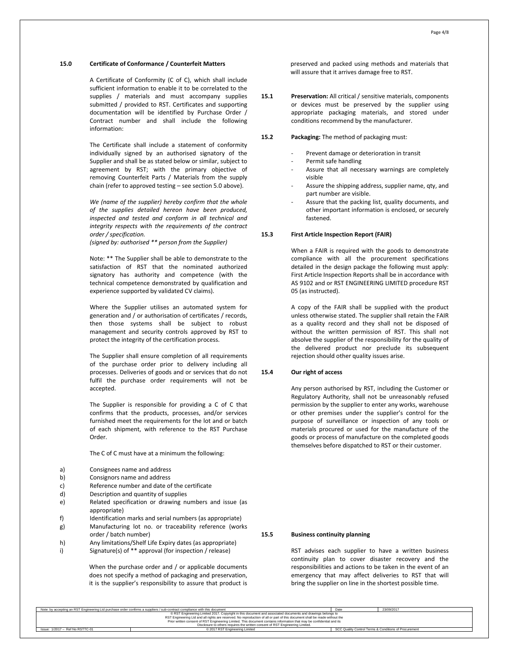# **15.0 Certificate of Conformance / Counterfeit Matters**

A Certificate of Conformity (C of C), which shall include sufficient information to enable it to be correlated to the supplies / materials and must accompany supplies submitted / provided to RST. Certificates and supporting documentation will be identified by Purchase Order / Contract number and shall include the following information:

The Certificate shall include a statement of conformity individually signed by an authorised signatory of the Supplier and shall be as stated below or similar, subject to agreement by RST; with the primary objective of removing Counterfeit Parts / Materials from the supply chain (refer to approved testing – see section 5.0 above).

*We (name of the supplier) hereby confirm that the whole of the supplies detailed hereon have been produced, inspected and tested and conform in all technical and integrity respects with the requirements of the contract order / specification.*

*(signed by: authorised \*\* person from the Supplier)*

Note: \*\* The Supplier shall be able to demonstrate to the satisfaction of RST that the nominated authorized signatory has authority and competence (with the technical competence demonstrated by qualification and experience supported by validated CV claims).

Where the Supplier utilises an automated system for generation and / or authorisation of certificates / records, then those systems shall be subject to robust management and security controls approved by RST to protect the integrity of the certification process.

The Supplier shall ensure completion of all requirements of the purchase order prior to delivery including all processes. Deliveries of goods and or services that do not fulfil the purchase order requirements will not be accepted.

The Supplier is responsible for providing a C of C that confirms that the products, processes, and/or services furnished meet the requirements for the lot and or batch of each shipment, with reference to the RST Purchase Order.

The C of C must have at a minimum the following:

- a) Consignees name and address
- b) Consignors name and address
- c) Reference number and date of the certificate
- d) Description and quantity of supplies
- e) Related specification or drawing numbers and issue (as appropriate)
- f) Identification marks and serial numbers (as appropriate)
- g) Manufacturing lot no. or traceability reference (works order / batch number)
- h) Any limitations/Shelf Life Expiry dates (as appropriate)
- i) Signature(s) of \*\* approval (for inspection / release)

When the purchase order and / or applicable documents does not specify a method of packaging and preservation, it is the supplier's responsibility to assure that product is preserved and packed using methods and materials that will assure that it arrives damage free to RST.

- **15.1 Preservation:** All critical / sensitive materials, components or devices must be preserved by the supplier using appropriate packaging materials, and stored under conditions recommend by the manufacturer.
- **15.2 Packaging:** The method of packaging must:
	- Prevent damage or deterioration in transit
	- Permit safe handling
	- Assure that all necessary warnings are completely visible
	- Assure the shipping address, supplier name, qty, and part number are visible.
	- Assure that the packing list, quality documents, and other important information is enclosed, or securely fastened.

# **15.3 First Article Inspection Report (FAIR)**

When a FAIR is required with the goods to demonstrate compliance with all the procurement specifications detailed in the design package the following must apply: First Article Inspection Reports shall be in accordance with AS 9102 and or RST ENGINEERING LIMITED procedure RST 05 (as instructed).

A copy of the FAIR shall be supplied with the product unless otherwise stated. The supplier shall retain the FAIR as a quality record and they shall not be disposed of without the written permission of RST. This shall not absolve the supplier of the responsibility for the quality of the delivered product nor preclude its subsequent rejection should other quality issues arise.

# **15.4 Our right of access**

Any person authorised by RST, including the Customer or Regulatory Authority, shall not be unreasonably refused permission by the supplier to enter any works, warehouse or other premises under the supplier's control for the purpose of surveillance or inspection of any tools or materials procured or used for the manufacture of the goods or process of manufacture on the completed goods themselves before dispatched to RST or their customer.

# **15.5 Business continuity planning**

RST advises each supplier to have a written business continuity plan to cover disaster recovery and the responsibilities and actions to be taken in the event of an emergency that may affect deliveries to RST that will bring the supplier on line in the shortest possible time.

| Note: by accepting an RST Engineering Ltd purchase order confirms a suppliers / sub-contract compliance with this document | Date                                                                                                                       | 23/09/2017 |  |  |
|----------------------------------------------------------------------------------------------------------------------------|----------------------------------------------------------------------------------------------------------------------------|------------|--|--|
| © RST Engineering Limited 2017. Copyright in this document and associated documents and drawings belongs to                |                                                                                                                            |            |  |  |
|                                                                                                                            | RST Engineering Ltd and all rights are reserved. No reproduction of all or part of this document shall be made without the |            |  |  |
|                                                                                                                            | Prior written consent of RST Engineering Limited. This document contains information that may be confidential and its      |            |  |  |
| Disclosure to others requires the written consent of RST Engineering Limited.                                              |                                                                                                                            |            |  |  |
| SCC Quality Control Terms & Conditions of Procurement<br>Issue: 1/2017 - Ref No RSTTC-01<br>© 2017 RST Engineering Limited |                                                                                                                            |            |  |  |
|                                                                                                                            |                                                                                                                            |            |  |  |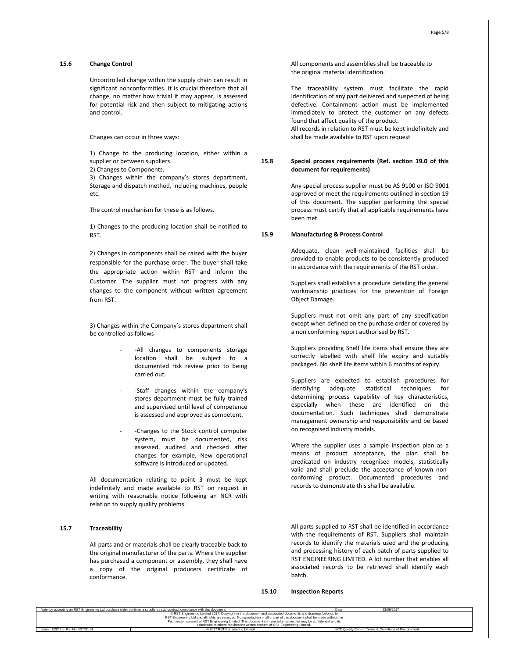# **15.6 Change Control**

Uncontrolled change within the supply chain can result in significant nonconformities. It is crucial therefore that all change, no matter how trivial it may appear, is assessed for potential risk and then subject to mitigating actions and control.

Changes can occur in three ways:

1) Change to the producing location, either within a supplier or between suppliers.

2) Changes to Components.

3) Changes within the company's stores department, Storage and dispatch method, including machines, people etc.

The control mechanism for these is as follows.

1) Changes to the producing location shall be notified to RST.

2) Changes in components shall be raised with the buyer responsible for the purchase order. The buyer shall take the appropriate action within RST and inform the Customer. The supplier must not progress with any changes to the component without written agreement from RST.

3) Changes within the Company's stores department shall be controlled as follows

- -All changes to components storage location shall be subject to a documented risk review prior to being carried out.
- -Staff changes within the company's stores department must be fully trained and supervised until level of competence is assessed and approved as competent.
- -Changes to the Stock control computer system, must be documented, risk assessed, audited and checked after changes for example, New operational software is introduced or updated.

All documentation relating to point 3 must be kept indefinitely and made available to RST on request in writing with reasonable notice following an NCR with relation to supply quality problems.

## **15.7 Traceability**

All parts and or materials shall be clearly traceable back to the original manufacturer of the parts. Where the supplier has purchased a component or assembly, they shall have a copy of the original producers certificate of conformance.

All components and assemblies shall be traceable to the original material identification.

The traceability system must facilitate the rapid identification of any part delivered and suspected of being defective. Containment action must be implemented immediately to protect the customer on any defects found that affect quality of the product. All records in relation to RST must be kept indefinitely and shall be made available to RST upon request

# **15.8 Special process requirements (Ref. section 19.0 of this document for requirements)**

Any special process supplier must be AS 9100 or ISO 9001 approved or meet the requirements outlined in section 19 of this document. The supplier performing the special process must certify that all applicable requirements have been met.

# **15.9 Manufacturing & Process Control**

Adequate, clean well-maintained facilities shall be provided to enable products to be consistently produced in accordance with the requirements of the RST order.

Suppliers shall establish a procedure detailing the general workmanship practices for the prevention of Foreign Object Damage.

Suppliers must not omit any part of any specification except when defined on the purchase order or covered by a non conforming report authorised by RST.

Suppliers providing Shelf life items shall ensure they are correctly labelled with shelf life expiry and suitably packaged. No shelf life items within 6 months of expiry.

Suppliers are expected to establish procedures for identifying adequate statistical techniques for determining process capability of key characteristics, especially when these are identified on the documentation. Such techniques shall demonstrate management ownership and responsibility and be based on recognised industry models.

Where the supplier uses a sample inspection plan as a means of product acceptance, the plan shall be predicated on industry recognised models, statistically valid and shall preclude the acceptance of known nonconforming product. Documented procedures and records to demonstrate this shall be available.

All parts supplied to RST shall be identified in accordance with the requirements of RST. Suppliers shall maintain records to identify the materials used and the producing and processing history of each batch of parts supplied to RST ENGINEERING LIMITED. A lot number that enables all associated records to be retrieved shall identify each batch.

#### **15.10 Inspection Reports**

| Note: by accepting an RST Engineering Ltd purchase order confirms a suppliers / sub-contract compliance with this document | Date                                                                                                                       | 23/09/2017 |  |  |  |
|----------------------------------------------------------------------------------------------------------------------------|----------------------------------------------------------------------------------------------------------------------------|------------|--|--|--|
|                                                                                                                            | © RST Engineering Limited 2017. Copyright in this document and associated documents and drawings belongs to                |            |  |  |  |
|                                                                                                                            | RST Engineering Ltd and all rights are reserved. No reproduction of all or part of this document shall be made without the |            |  |  |  |
|                                                                                                                            | Prior written consent of RST Engineering Limited. This document contains information that may be confidential and its      |            |  |  |  |
| Disclosure to others requires the written consent of RST Engineering Limited.                                              |                                                                                                                            |            |  |  |  |
| SCC Quality Control Terms & Conditions of Procurement<br>Issue: 1/2017 - Ref No RSTTC-01<br>© 2017 RST Engineering Limited |                                                                                                                            |            |  |  |  |
|                                                                                                                            |                                                                                                                            |            |  |  |  |